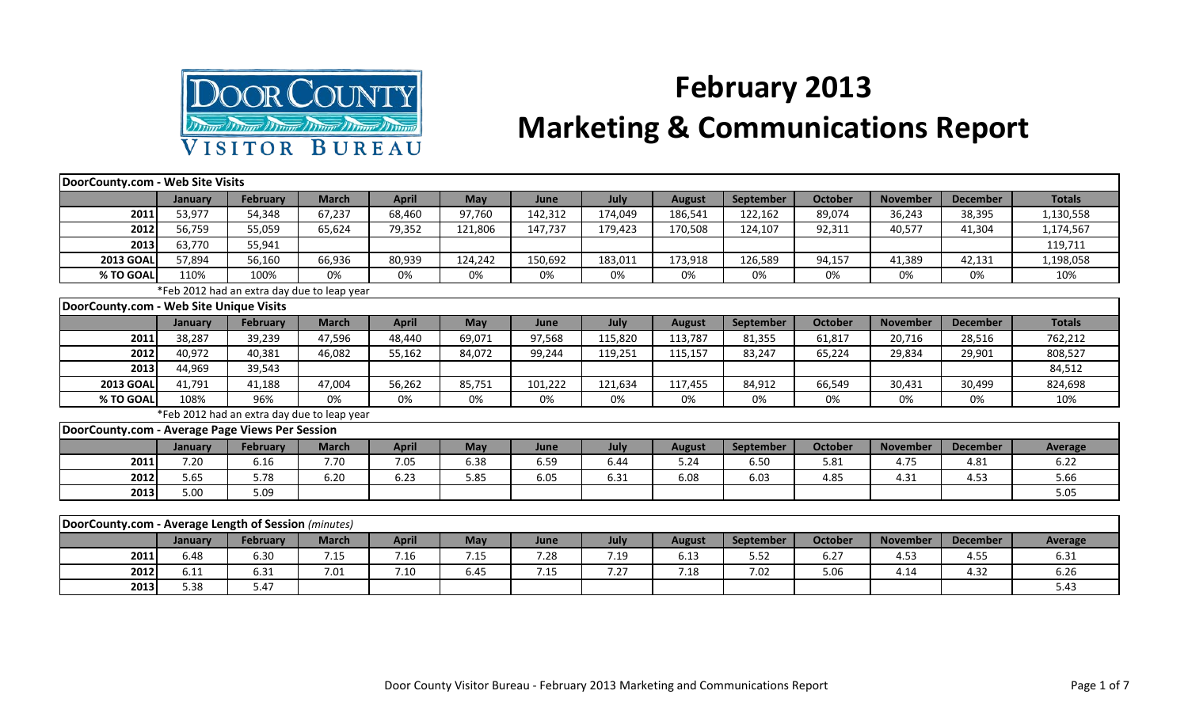

## **February 2013 Marketing & Communications Report**

| DoorCounty.com - Web Site Visits                     |         |                                             |              |              |            |         |         |               |                  |                |                 |                 |                |
|------------------------------------------------------|---------|---------------------------------------------|--------------|--------------|------------|---------|---------|---------------|------------------|----------------|-----------------|-----------------|----------------|
|                                                      | January | <b>February</b>                             | <b>March</b> | <b>April</b> | <b>May</b> | June    | July    | <b>August</b> | September        | <b>October</b> | <b>November</b> | <b>December</b> | <b>Totals</b>  |
| 2011                                                 | 53,977  | 54,348                                      | 67,237       | 68,460       | 97,760     | 142,312 | 174,049 | 186,541       | 122,162          | 89,074         | 36,243          | 38,395          | 1,130,558      |
| 2012                                                 | 56,759  | 55,059                                      | 65,624       | 79,352       | 121,806    | 147,737 | 179,423 | 170,508       | 124,107          | 92,311         | 40,577          | 41,304          | 1,174,567      |
| 2013                                                 | 63,770  | 55,941                                      |              |              |            |         |         |               |                  |                |                 |                 | 119,711        |
| <b>2013 GOAL</b>                                     | 57,894  | 56,160                                      | 66,936       | 80,939       | 124,242    | 150,692 | 183,011 | 173,918       | 126,589          | 94,157         | 41,389          | 42,131          | 1,198,058      |
| % TO GOAL                                            | 110%    | 100%                                        | 0%           | 0%           | 0%         | 0%      | 0%      | 0%            | 0%               | 0%             | 0%              | 0%              | 10%            |
|                                                      |         | *Feb 2012 had an extra day due to leap year |              |              |            |         |         |               |                  |                |                 |                 |                |
| DoorCounty.com - Web Site Unique Visits              |         |                                             |              |              |            |         |         |               |                  |                |                 |                 |                |
|                                                      | January | <b>February</b>                             | <b>March</b> | <b>April</b> | <b>May</b> | June    | July    | <b>August</b> | <b>September</b> | <b>October</b> | <b>November</b> | <b>December</b> | <b>Totals</b>  |
| 2011                                                 | 38,287  | 39,239                                      | 47,596       | 48,440       | 69,071     | 97,568  | 115,820 | 113,787       | 81,355           | 61,817         | 20,716          | 28,516          | 762,212        |
| 2012                                                 | 40.972  | 40,381                                      | 46,082       | 55,162       | 84,072     | 99,244  | 119,251 | 115,157       | 83,247           | 65,224         | 29,834          | 29,901          | 808,527        |
| 2013                                                 | 44,969  | 39,543                                      |              |              |            |         |         |               |                  |                |                 |                 | 84,512         |
| <b>2013 GOAL</b>                                     | 41,791  | 41,188                                      | 47,004       | 56,262       | 85,751     | 101,222 | 121,634 | 117,455       | 84,912           | 66,549         | 30,431          | 30,499          | 824,698        |
| % TO GOAL                                            | 108%    | 96%                                         | 0%           | 0%           | 0%         | 0%      | 0%      | 0%            | 0%               | 0%             | 0%              | 0%              | 10%            |
|                                                      |         | *Feb 2012 had an extra day due to leap year |              |              |            |         |         |               |                  |                |                 |                 |                |
| DoorCounty.com - Average Page Views Per Session      |         |                                             |              |              |            |         |         |               |                  |                |                 |                 |                |
|                                                      | January | <b>February</b>                             | <b>March</b> | <b>April</b> | May        | June    | July    | <b>August</b> | September        | <b>October</b> | <b>November</b> | <b>December</b> | <b>Average</b> |
| 2011                                                 | 7.20    | 6.16                                        | 7.70         | 7.05         | 6.38       | 6.59    | 6.44    | 5.24          | 6.50             | 5.81           | 4.75            | 4.81            | 6.22           |
| 2012                                                 | 5.65    | 5.78                                        | 6.20         | 6.23         | 5.85       | 6.05    | 6.31    | 6.08          | 6.03             | 4.85           | 4.31            | 4.53            | 5.66           |
| 2013                                                 | 5.00    | 5.09                                        |              |              |            |         |         |               |                  |                |                 |                 | 5.05           |
|                                                      |         |                                             |              |              |            |         |         |               |                  |                |                 |                 |                |
| DoorCounty.com - Average Length of Session (minutes) |         |                                             |              |              |            |         |         |               |                  |                |                 |                 |                |
|                                                      | January | <b>February</b>                             | <b>March</b> | <b>April</b> | <b>May</b> | June    | July    | <b>August</b> | September        | <b>October</b> | <b>November</b> | <b>December</b> | <b>Average</b> |
| 2011                                                 | 6.48    | 6.30                                        | 7.15         | 7.16         | 7.15       | 7.28    | 7.19    | 6.13          | 5.52             | 6.27           | 4.53            | 4.55            | 6.31           |

**2012** 6.11 6.31 7.01 7.10 6.45 7.15 7.27 7.18 7.02 5.06 4.14 4.32 6.26 **2013** 5.38 5.38 5.47 Formulation of the set of the set of the set of the set of the set of the set of the set o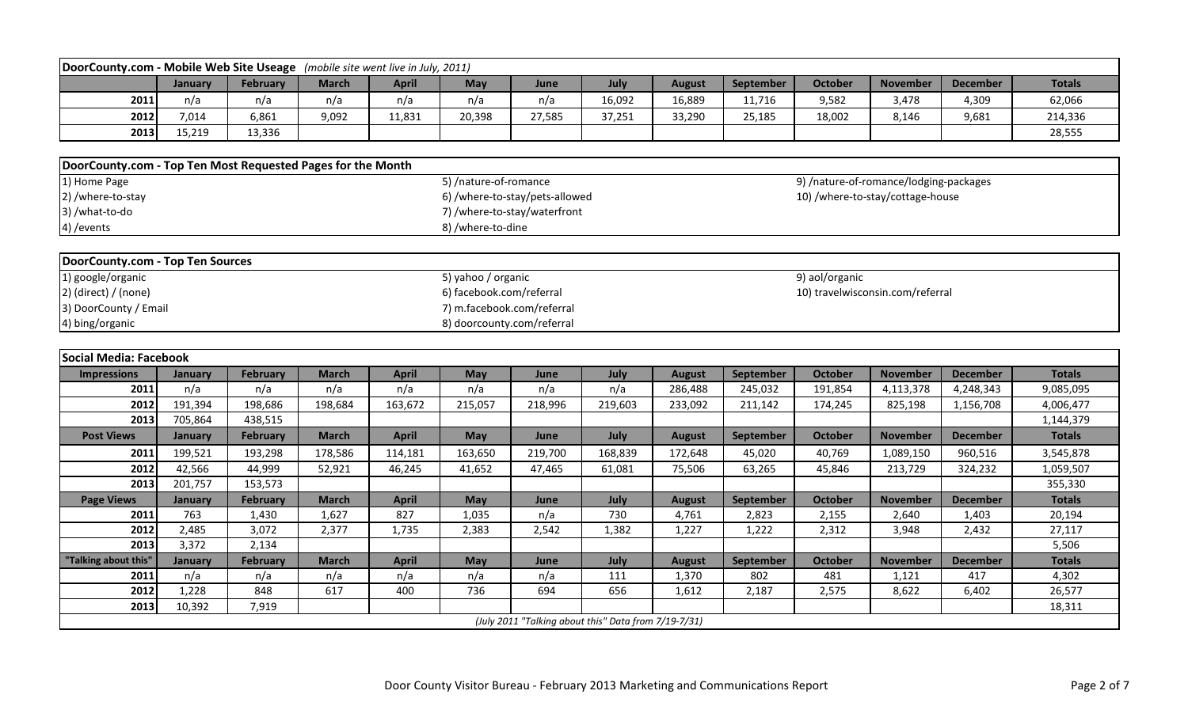| DoorCounty.com - Mobile Web Site Useage (mobile site went live in July, 2011) |         |                 |              |              |                            |                                                      |         |               |           |                                        |                 |                 |               |
|-------------------------------------------------------------------------------|---------|-----------------|--------------|--------------|----------------------------|------------------------------------------------------|---------|---------------|-----------|----------------------------------------|-----------------|-----------------|---------------|
|                                                                               | January | <b>February</b> | <b>March</b> | <b>April</b> | May                        | June                                                 | July    | <b>August</b> | September | <b>October</b>                         | <b>November</b> | <b>December</b> | <b>Totals</b> |
| 2011                                                                          | n/a     | n/a             | n/a          | n/a          | n/a                        | n/a                                                  | 16,092  | 16,889        | 11,716    | 9,582                                  | 3,478           | 4,309           | 62,066        |
| 2012                                                                          | 7,014   | 6,861           | 9,092        | 11,831       | 20,398                     | 27,585                                               | 37,251  | 33,290        | 25,185    | 18,002                                 | 8,146           | 9,681           | 214,336       |
| 2013                                                                          | 15,219  | 13,336          |              |              |                            |                                                      |         |               |           |                                        |                 |                 | 28,555        |
|                                                                               |         |                 |              |              |                            |                                                      |         |               |           |                                        |                 |                 |               |
| DoorCounty.com - Top Ten Most Requested Pages for the Month                   |         |                 |              |              |                            |                                                      |         |               |           |                                        |                 |                 |               |
| 1) Home Page                                                                  |         |                 |              |              | 5) /nature-of-romance      |                                                      |         |               |           | 9) /nature-of-romance/lodging-packages |                 |                 |               |
| 2) /where-to-stay                                                             |         |                 |              |              |                            | 6) /where-to-stay/pets-allowed                       |         |               |           | 10) /where-to-stay/cottage-house       |                 |                 |               |
| 3) /what-to-do                                                                |         |                 |              |              |                            | 7) /where-to-stay/waterfront                         |         |               |           |                                        |                 |                 |               |
| 4) / events                                                                   |         |                 |              |              | 8) /where-to-dine          |                                                      |         |               |           |                                        |                 |                 |               |
|                                                                               |         |                 |              |              |                            |                                                      |         |               |           |                                        |                 |                 |               |
| <b>DoorCounty.com - Top Ten Sources</b>                                       |         |                 |              |              |                            |                                                      |         |               |           |                                        |                 |                 |               |
| 1) google/organic                                                             |         |                 |              |              | 5) yahoo / organic         |                                                      |         |               |           | 9) aol/organic                         |                 |                 |               |
| $2)$ (direct) / (none)                                                        |         |                 |              |              | 6) facebook.com/referral   |                                                      |         |               |           | 10) travelwisconsin.com/referral       |                 |                 |               |
| 3) DoorCounty / Email                                                         |         |                 |              |              | 7) m.facebook.com/referral |                                                      |         |               |           |                                        |                 |                 |               |
| 4) bing/organic                                                               |         |                 |              |              | 8) doorcounty.com/referral |                                                      |         |               |           |                                        |                 |                 |               |
|                                                                               |         |                 |              |              |                            |                                                      |         |               |           |                                        |                 |                 |               |
| <b>Social Media: Facebook</b>                                                 |         |                 |              |              |                            |                                                      |         |               |           |                                        |                 |                 |               |
| <b>Impressions</b>                                                            | January | <b>February</b> | <b>March</b> | <b>April</b> | <b>May</b>                 | June                                                 | July    | <b>August</b> | September | <b>October</b>                         | <b>November</b> | <b>December</b> | <b>Totals</b> |
|                                                                               |         |                 | n/a          | n/a          | n/a                        | n/a                                                  |         |               |           |                                        |                 |                 | 9,085,095     |
| 2011                                                                          | n/a     | n/a             |              |              |                            |                                                      | n/a     | 286,488       | 245,032   | 191,854                                | 4,113,378       | 4,248,343       |               |
| 2012                                                                          | 191,394 | 198,686         | 198,684      | 163,672      | 215,057                    | 218,996                                              | 219,603 | 233,092       | 211,142   | 174,245                                | 825,198         | 1,156,708       | 4,006,477     |
| 2013                                                                          | 705,864 | 438,515         |              |              |                            |                                                      |         |               |           |                                        |                 |                 | 1,144,379     |
| <b>Post Views</b>                                                             | January | <b>February</b> | <b>March</b> | <b>April</b> | <b>May</b>                 | June                                                 | July    | <b>August</b> | September | <b>October</b>                         | <b>November</b> | <b>December</b> | <b>Totals</b> |
| 2011                                                                          | 199,521 | 193,298         | 178,586      | 114,181      | 163,650                    | 219,700                                              | 168,839 | 172,648       | 45,020    | 40,769                                 | 1,089,150       | 960,516         | 3,545,878     |
| 2012                                                                          | 42,566  | 44,999          | 52,921       | 46,245       | 41,652                     | 47,465                                               | 61,081  | 75,506        | 63,265    | 45,846                                 | 213,729         | 324,232         | 1,059,507     |
| 2013                                                                          | 201,757 | 153,573         |              |              |                            |                                                      |         |               |           |                                        |                 |                 | 355,330       |
| <b>Page Views</b>                                                             | January | <b>February</b> | <b>March</b> | <b>April</b> | May                        | June                                                 | July    | <b>August</b> | September | <b>October</b>                         | <b>November</b> | <b>December</b> | <b>Totals</b> |
| 2011                                                                          | 763     | 1,430           | 1,627        | 827          | 1,035                      | n/a                                                  | 730     | 4,761         | 2,823     | 2,155                                  | 2,640           | 1,403           | 20,194        |
| 2012                                                                          | 2,485   | 3,072           | 2,377        | 1,735        | 2,383                      | 2,542                                                | 1,382   | 1,227         | 1,222     | 2,312                                  | 3,948           | 2,432           | 27,117        |
| 2013                                                                          | 3,372   | 2,134           |              |              |                            |                                                      |         |               |           |                                        |                 |                 | 5,506         |
| "Talking about this"                                                          | January | <b>February</b> | <b>March</b> | <b>April</b> | <b>May</b>                 | June                                                 | July    | <b>August</b> | September | <b>October</b>                         | <b>November</b> | <b>December</b> | <b>Totals</b> |
| 2011                                                                          | n/a     | n/a             | n/a          | n/a          | n/a                        | n/a                                                  | 111     | 1,370         | 802       | 481                                    | 1,121           | 417             | 4,302         |
| 2012                                                                          | 1,228   | 848             | 617          | 400          | 736                        | 694                                                  | 656     | 1,612         | 2,187     | 2,575                                  | 8,622           | 6,402           | 26,577        |
| 2013                                                                          | 10,392  | 7,919           |              |              |                            | (July 2011 "Talking about this" Data from 7/19-7/31) |         |               |           |                                        |                 |                 | 18,311        |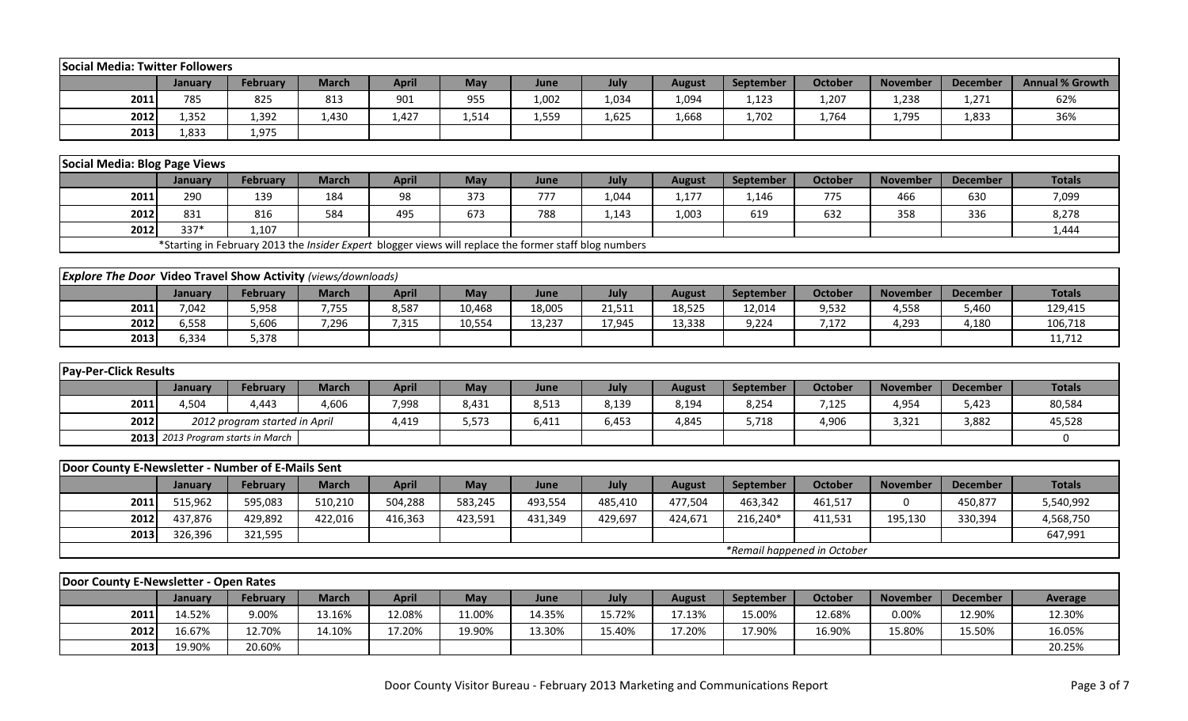| <b>Social Media: Twitter Followers</b>                               |                          |                                                                                                        |              |              |         |                |         |                         |           |                             |                          |                           |                        |
|----------------------------------------------------------------------|--------------------------|--------------------------------------------------------------------------------------------------------|--------------|--------------|---------|----------------|---------|-------------------------|-----------|-----------------------------|--------------------------|---------------------------|------------------------|
|                                                                      | January                  | <b>February</b>                                                                                        | <b>March</b> | <b>April</b> | May     | June           | July    | <b>August</b>           | September | <b>October</b>              | <b>November</b>          | <b>December</b>           | <b>Annual % Growth</b> |
| 2011                                                                 | 785                      | 825                                                                                                    | 813          | 901          | 955     | 1,002          | 1,034   | 1,094                   | 1,123     | 1,207                       | 1,238                    | 1,271                     | 62%                    |
| 2012                                                                 | 1,352                    | 1,392                                                                                                  | 1,430        | 1,427        | 1,514   | 1,559          | 1,625   | 1,668                   | 1,702     | 1,764                       | 1,795                    | 1,833                     | 36%                    |
| 2013                                                                 | 1,833                    | 1,975                                                                                                  |              |              |         |                |         |                         |           |                             |                          |                           |                        |
|                                                                      |                          |                                                                                                        |              |              |         |                |         |                         |           |                             |                          |                           |                        |
| Social Media: Blog Page Views                                        |                          |                                                                                                        |              |              |         |                |         |                         |           |                             |                          |                           |                        |
|                                                                      | <b>January</b>           | <b>February</b>                                                                                        | <b>March</b> | <b>April</b> | May     | June           | July    | <b>August</b>           | September | <b>October</b>              | <b>November</b>          | <b>December</b>           | <b>Totals</b>          |
| 2011                                                                 | 290                      | 139                                                                                                    | 184          | 98           | 373     | 777            | 1,044   | 1,177                   | 1,146     | 775                         | 466                      | 630                       | 7,099                  |
| 2012                                                                 | 831                      | 816                                                                                                    | 584          | 495          | 673     | 788            | 1,143   | 1,003                   | 619       | 632                         | 358                      | 336                       | 8,278                  |
| 2012                                                                 | 337*                     | 1,107                                                                                                  |              |              |         |                |         |                         |           |                             |                          |                           | 1,444                  |
|                                                                      |                          | *Starting in February 2013 the Insider Expert blogger views will replace the former staff blog numbers |              |              |         |                |         |                         |           |                             |                          |                           |                        |
|                                                                      |                          |                                                                                                        |              |              |         |                |         |                         |           |                             |                          |                           |                        |
| <b>Explore The Door Video Travel Show Activity</b> (views/downloads) |                          |                                                                                                        |              |              |         |                |         |                         |           |                             |                          |                           |                        |
|                                                                      | January                  | <b>February</b>                                                                                        | <b>March</b> | <b>April</b> | May     | June           | July    | <b>August</b>           | September | <b>October</b>              | <b>November</b>          | <b>December</b>           | <b>Totals</b>          |
| 2011                                                                 | 7,042                    | 5,958                                                                                                  | 7,755        | 8,587        | 10,468  | 18,005         | 21,511  | 18,525                  | 12,014    | 9,532                       | 4,558                    | 5,460                     | 129,415                |
| 2012                                                                 | 6,558                    | 5,606                                                                                                  | 7,296        | 7,315        | 10,554  | 13,237         | 17,945  | 13,338                  | 9,224     | 7,172                       | 4,293                    | 4,180                     | 106,718                |
| 2013                                                                 | 6,334                    | 5,378                                                                                                  |              |              |         |                |         |                         |           |                             |                          |                           | 11,712                 |
|                                                                      |                          |                                                                                                        |              |              |         |                |         |                         |           |                             |                          |                           |                        |
| <b>Pay-Per-Click Results</b>                                         |                          |                                                                                                        |              |              |         |                |         |                         |           |                             |                          |                           |                        |
|                                                                      | January                  | <b>February</b>                                                                                        | <b>March</b> | <b>April</b> | May     | June           | July    | <b>August</b>           | September | <b>October</b>              | <b>November</b>          | <b>December</b>           | <b>Totals</b>          |
| 2011                                                                 | 4,504                    | 4,443                                                                                                  | 4,606        | 7,998        | 8,431   | 8,513          | 8,139   | 8,194                   | 8,254     | 7,125                       | 4,954                    | 5,423                     | 80,584                 |
| 2012                                                                 |                          | 2012 program started in April                                                                          |              | 4,419        | 5,573   | 6,411          | 6,453   | 4,845                   | 5,718     | 4,906                       | 3,321                    | 3,882                     | 45,528                 |
| 2013                                                                 |                          | 2013 Program starts in March                                                                           |              |              |         |                |         |                         |           |                             |                          |                           | $\mathbf 0$            |
| Door County E-Newsletter - Number of E-Mails Sent                    |                          |                                                                                                        |              |              |         |                |         |                         |           |                             |                          |                           |                        |
|                                                                      |                          |                                                                                                        |              |              |         |                |         |                         |           |                             |                          |                           | <b>Totals</b>          |
|                                                                      | <b>January</b>           | <b>February</b>                                                                                        | <b>March</b> | <b>April</b> | May     | June           | July    | <b>August</b>           | September | <b>October</b>              | <b>November</b>          | <b>December</b>           |                        |
| 2011                                                                 | 515,962                  | 595,083                                                                                                | 510,210      | 504,288      | 583,245 | 493,554        | 485,410 | 477,504                 | 463,342   | 461,517                     | $\Omega$                 | 450,877                   | 5,540,992              |
| 2012                                                                 | 437,876                  | 429,892                                                                                                | 422,016      | 416,363      | 423,591 | 431,349        | 429,697 | 424,671                 | 216,240*  | 411,531                     | 195,130                  | 330,394                   | 4,568,750              |
| 2013                                                                 | 326,396                  | 321,595                                                                                                |              |              |         |                |         |                         |           |                             |                          |                           | 647,991                |
|                                                                      |                          |                                                                                                        |              |              |         |                |         |                         |           | *Remail happened in October |                          |                           |                        |
| Door County E-Newsletter - Open Rates                                |                          |                                                                                                        |              |              |         |                |         |                         |           |                             |                          |                           |                        |
|                                                                      |                          | <b>February</b>                                                                                        | <b>March</b> | <b>April</b> | May     |                | July    |                         | September | <b>October</b>              |                          |                           |                        |
| 2011                                                                 | <b>January</b><br>14.52% | 9.00%                                                                                                  | 13.16%       | 12.08%       | 11.00%  | June<br>14.35% | 15.72%  | <b>August</b><br>17.13% | 15.00%    | 12.68%                      | <b>November</b><br>0.00% | <b>December</b><br>12.90% | Average<br>12.30%      |
| 2012                                                                 | 16.67%                   | 12.70%                                                                                                 | 14.10%       | 17.20%       | 19.90%  | 13.30%         | 15.40%  | 17.20%                  | 17.90%    | 16.90%                      | 15.80%                   | 15.50%                    | 16.05%                 |
| 2013                                                                 | 19.90%                   | 20.60%                                                                                                 |              |              |         |                |         |                         |           |                             |                          |                           | 20.25%                 |
|                                                                      |                          |                                                                                                        |              |              |         |                |         |                         |           |                             |                          |                           |                        |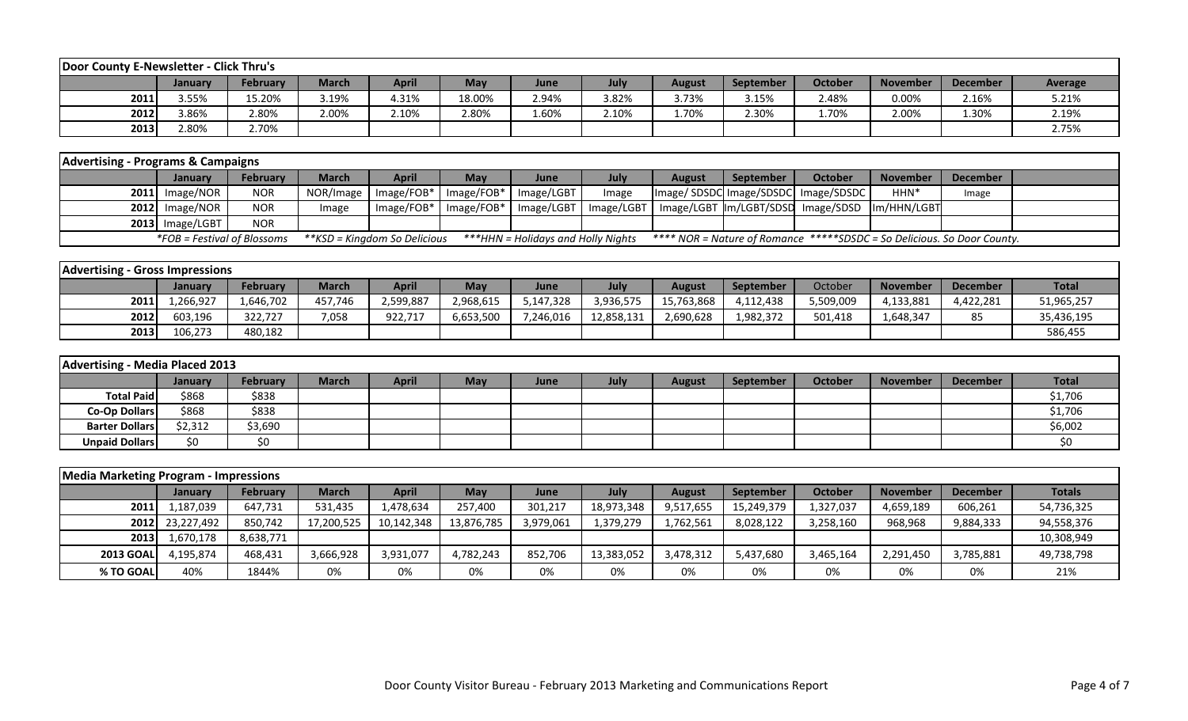| Door County E-Newsletter - Click Thru's |         |                 |              |       |            |       |       |               |                  |                |          |                 |         |
|-----------------------------------------|---------|-----------------|--------------|-------|------------|-------|-------|---------------|------------------|----------------|----------|-----------------|---------|
|                                         | Januarv | <b>February</b> | <b>March</b> | April | <b>May</b> | June  | July  | <b>August</b> | <b>September</b> | <b>October</b> | November | <b>December</b> | Average |
| 2011                                    | 3.55%   | 15.20%          | 3.19%        | 4.31% | 18.00%     | 2.94% | 3.82% | 3.73%         | 3.15%            | 2.48%          | 0.00%    | 2.16%           | 5.21%   |
| 2012                                    | 3.86%   | 2.80%           | 2.00%        | 2.10% | 2.80%      | 1.60% | 2.10% | 1.70%         | 2.30%            | 1.70%          | 2.00%    | 1.30%           | 2.19%   |
| 2013                                    | 2.80%   | 2.70%           |              |       |            |       |       |               |                  |                |          |                 | 2.75%   |

| <b>Advertising - Programs &amp; Campaigns</b> |                             |                 |       |                              |                                                  |                                    |       |               |           |                                                                         |                  |          |  |
|-----------------------------------------------|-----------------------------|-----------------|-------|------------------------------|--------------------------------------------------|------------------------------------|-------|---------------|-----------|-------------------------------------------------------------------------|------------------|----------|--|
|                                               | <b>January</b>              | <b>February</b> | March | <b>April</b>                 | Mav                                              | June                               | Julv  | <b>August</b> | September | October                                                                 | <b>November</b>  | December |  |
|                                               | $2011$ Image/NOR            | <b>NOR</b>      |       |                              | NOR/Image   Image/FOB*   Image/FOB*   Image/LGBT |                                    | Image |               |           | Image/SDSDC Image/SDSDC Image/SDSDC                                     | HHN <sup>*</sup> | Image    |  |
|                                               | $2012$ Image/NOR            | <b>NOR</b>      | Image | Image/FOB*                   | $Image/FOB*$   Image/LGBT                        |                                    |       |               |           | Image/LGBT   Image/LGBT  Im/LGBT/SDSD Image/SDSD  Im/HHN/LGBT           |                  |          |  |
|                                               | 2013 Image/LGBT             | <b>NOR</b>      |       |                              |                                                  |                                    |       |               |           |                                                                         |                  |          |  |
|                                               | *FOB = Festival of Blossoms |                 |       | **KSD = Kingdom So Delicious |                                                  | ***HHN = Holidays and Holly Nights |       |               |           | **** NOR = Nature of Romance *****SDSDC = So Delicious. So Door County. |                  |          |  |

| <b>Advertising - Gross Impressions</b> |           |                 |              |           |           |           |            |            |                  |           |                 |                 |              |
|----------------------------------------|-----------|-----------------|--------------|-----------|-----------|-----------|------------|------------|------------------|-----------|-----------------|-----------------|--------------|
|                                        | Januarv   | <b>February</b> | <b>March</b> | April     | May       | June      | July       | August     | <b>September</b> | October   | <b>November</b> | <b>December</b> | <b>Total</b> |
| 2011                                   | .,266,927 | 1,646,702       | 457,746      | 2,599,887 | 2,968,615 | 5,147,328 | 3,936,575  | 15,763,868 | 4,112,438        | 5,509,009 | 4,133,881       | 4,422,281       | 51,965,257   |
| 2012                                   | 603,196   | 322,727         | 7,058        | 922,717   | 6,653,500 | 7,246,016 | 12,858,131 | 2,690,628  | 1,982,372        | 501,418   | 1,648,347       | 85              | 35,436,195   |
| 2013                                   | 106,273   | 480,182         |              |           |           |           |            |            |                  |           |                 |                 | 586,455      |

| Advertising - Media Placed 2013 |         |                 |              |              |            |             |      |               |                  |         |                 |                 |              |
|---------------------------------|---------|-----------------|--------------|--------------|------------|-------------|------|---------------|------------------|---------|-----------------|-----------------|--------------|
|                                 | January | <b>February</b> | <b>March</b> | <b>April</b> | <b>May</b> | <b>June</b> | July | <b>August</b> | <b>September</b> | October | <b>November</b> | <b>December</b> | <b>Total</b> |
| <b>Total Paid</b>               | \$868   | \$838           |              |              |            |             |      |               |                  |         |                 |                 | \$1,706      |
| Co-Op Dollars                   | \$868   | \$838           |              |              |            |             |      |               |                  |         |                 |                 | \$1,706      |
| <b>Barter Dollars</b>           | \$2,312 | \$3,690         |              |              |            |             |      |               |                  |         |                 |                 | \$6,002      |
| <b>Unpaid Dollars</b>           | \$0     | \$0             |              |              |            |             |      |               |                  |         |                 |                 | \$0          |

| <b>Media Marketing Program - Impressions</b> |                 |           |              |              |            |             |            |               |            |                |                 |                 |               |
|----------------------------------------------|-----------------|-----------|--------------|--------------|------------|-------------|------------|---------------|------------|----------------|-----------------|-----------------|---------------|
|                                              | <b>January</b>  | February  | <b>March</b> | <b>April</b> | May        | <b>June</b> | July       | <b>August</b> | September  | <b>October</b> | <b>November</b> | <b>December</b> | <b>Totals</b> |
| 2011                                         | 1,187,039       | 647,731   | 531,435      | 1,478,634    | 257,400    | 301,217     | 18,973,348 | 9,517,655     | 15,249,379 | 1,327,037      | 4,659,189       | 606,261         | 54,736,325    |
|                                              | 2012 23,227,492 | 850,742   | 17,200,525   | 10,142,348   | 13,876,785 | 3,979,061   | 1,379,279  | 1,762,561     | 8,028,122  | 3,258,160      | 968,968         | 9,884,333       | 94,558,376    |
| 2013                                         | 1,670,178       | 8,638,771 |              |              |            |             |            |               |            |                |                 |                 | 10,308,949    |
| <b>2013 GOAL</b>                             | 4.195.874       | 468,431   | 3,666,928    | 3,931,077    | 4,782,243  | 852.706     | 13,383,052 | 3,478,312     | 5,437,680  | 3,465,164      | 2,291,450       | 3,785,881       | 49,738,798    |
| % TO GOAL                                    | 40%             | 1844%     | 0%           | 0%           | 0%         | 0%          | 0%         | 0%            | 0%         | 0%             | 0%              | 0%              | 21%           |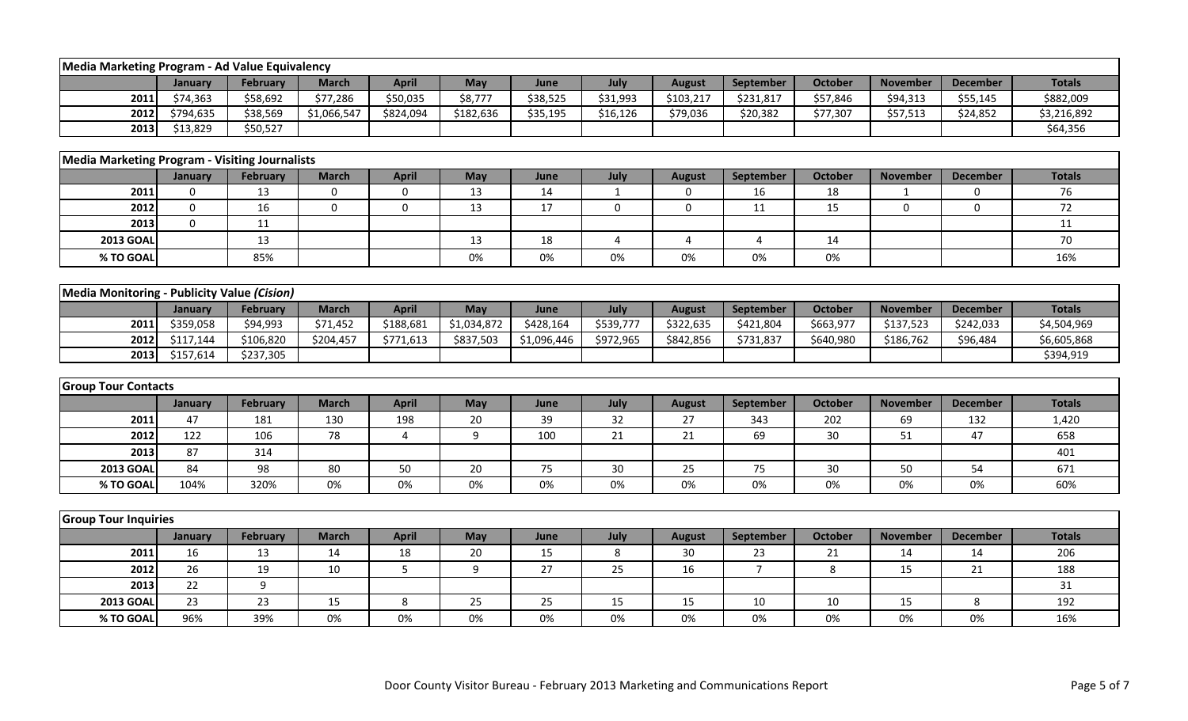| Media Marketing Program - Ad Value Equivalency        |             |                 |              |              |                         |             |              |                  |                |                |                 |                 |               |
|-------------------------------------------------------|-------------|-----------------|--------------|--------------|-------------------------|-------------|--------------|------------------|----------------|----------------|-----------------|-----------------|---------------|
|                                                       | January     | February        | <b>March</b> | <b>April</b> | May                     | June        | July         | <b>August</b>    | September      | <b>October</b> | <b>November</b> | <b>December</b> | <b>Totals</b> |
| 2011                                                  | \$74,363    | \$58,692        | \$77,286     | \$50,035     | \$8,777                 | \$38,525    | \$31,993     | \$103,217        | \$231,817      | \$57,846       | \$94,313        | \$55,145        | \$882,009     |
| 2012                                                  | \$794,635   | \$38,569        | \$1,066,547  | \$824,094    | \$182,636               | \$35,195    | \$16,126     | \$79,036         | \$20,382       | \$77,307       | \$57,513        | \$24,852        | \$3,216,892   |
| 2013                                                  | \$13,829    | \$50,527        |              |              |                         |             |              |                  |                |                |                 |                 | \$64,356      |
| <b>Media Marketing Program - Visiting Journalists</b> |             |                 |              |              |                         |             |              |                  |                |                |                 |                 |               |
|                                                       | January     | February        | <b>March</b> | <b>April</b> | May                     | June        | July         | <b>August</b>    | September      | October        | <b>November</b> | <b>December</b> | <b>Totals</b> |
| 2011                                                  | $\mathbf 0$ | 13              | $\mathbf 0$  | $\mathbf 0$  | 13                      | 14          | $\mathbf{1}$ | 0                | 16             | 18             | $\mathbf{1}$    | $\Omega$        | 76            |
| 2012                                                  | $\mathbf 0$ | 16              | $\mathbf 0$  | $\pmb{0}$    | 13                      | 17          | 0            | $\boldsymbol{0}$ | 11             | 15             | $\Omega$        | $\Omega$        | 72            |
| 2013                                                  | $\mathbf 0$ | 11              |              |              |                         |             |              |                  |                |                |                 |                 | 11            |
| <b>2013 GOAL</b>                                      |             | 13              |              |              | 13                      | 18          | 4            | $\overline{4}$   | $\overline{4}$ | 14             |                 |                 | 70            |
| % TO GOAL                                             |             | 85%             |              |              | 0%                      | 0%          | 0%           | 0%               | 0%             | 0%             |                 |                 | 16%           |
|                                                       |             |                 |              |              |                         |             |              |                  |                |                |                 |                 |               |
| Media Monitoring - Publicity Value (Cision)           |             |                 |              |              |                         |             |              |                  |                |                |                 |                 |               |
|                                                       | January     | <b>February</b> | <b>March</b> | <b>April</b> | May                     | June        | July         | <b>August</b>    | September      | <b>October</b> | <b>November</b> | <b>December</b> | <b>Totals</b> |
| 2011                                                  | \$359,058   | \$94,993        | \$71,452     | \$188,681    | $\overline{51,034,872}$ | \$428,164   | \$539,777    | \$322,635        | \$421,804      | \$663,977      | \$137,523       | \$242,033       | \$4,504,969   |
| 2012                                                  | \$117,144   | \$106,820       | \$204,457    | \$771,613    | \$837,503               | \$1,096,446 | \$972,965    | \$842,856        | \$731,837      | \$640,980      | \$186,762       | \$96,484        | \$6,605,868   |
| 2013                                                  | \$157,614   | \$237,305       |              |              |                         |             |              |                  |                |                |                 |                 | \$394,919     |
|                                                       |             |                 |              |              |                         |             |              |                  |                |                |                 |                 |               |
| <b>Group Tour Contacts</b>                            |             |                 |              |              |                         |             |              |                  |                |                |                 |                 |               |
|                                                       | January     | February        | <b>March</b> | <b>April</b> | May                     | June        | July         | <b>August</b>    | September      | <b>October</b> | <b>November</b> | <b>December</b> | <b>Totals</b> |
| 2011                                                  | 47          | 181             | 130          | 198          | 20                      | 39          | 32           | 27               | 343            | 202            | 69              | 132             | 1,420         |
| 2012                                                  | 122         | 106             | 78           | 4            | 9                       | 100         | 21           | 21               | 69             | 30             | 51              | 47              | 658           |
| 2013                                                  | 87          | 314             |              |              |                         |             |              |                  |                |                |                 |                 | 401           |
| <b>2013 GOAL</b>                                      | 84          | 98              | 80           | 50           | 20                      | 75          | 30           | 25               | 75             | 30             | 50              | 54              | 671           |
| % TO GOAL                                             | 104%        | 320%            | 0%           | 0%           | 0%                      | 0%          | 0%           | 0%               | 0%             | 0%             | 0%              | 0%              | 60%           |
|                                                       |             |                 |              |              |                         |             |              |                  |                |                |                 |                 |               |
| <b>Group Tour Inquiries</b>                           |             |                 |              |              |                         |             |              |                  |                |                |                 |                 |               |
|                                                       | January     | <b>February</b> | <b>March</b> | <b>April</b> | May                     | June        | July         | <b>August</b>    | September      | <b>October</b> | <b>November</b> | <b>December</b> | <b>Totals</b> |
| 2011                                                  | 16          | 13              | 14           | 18           | 20                      | 15          | 8            | 30               | 23             | 21             | 14              | 14              | 206           |
| 2012                                                  | 26          | 19              | 10           | 5            | 9                       | 27          | 25           | 16               | $\overline{7}$ | 8              | 15              | 21              | 188           |
| 2013                                                  | 22          | 9               |              |              |                         |             |              |                  |                |                |                 |                 | 31            |
| <b>2013 GOAL</b>                                      | 23          | 23              | 15           | 8            | 25                      | 25          | 15           | 15               | 10             | 10             | 15              | 8               | 192           |
| % TO GOAL                                             | 96%         | 39%             | 0%           | 0%           | 0%                      | 0%          | 0%           | 0%               | 0%             | 0%             | 0%              | 0%              | 16%           |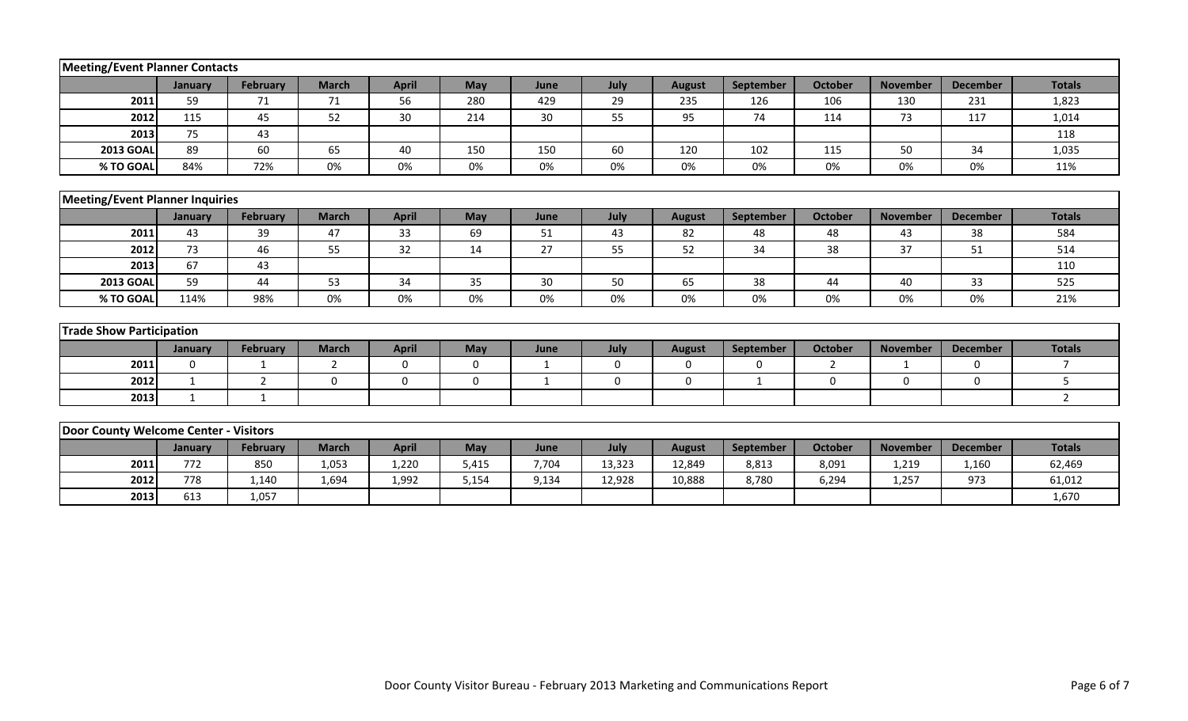| <b>Meeting/Event Planner Contacts</b>  |              |                 |                |              |          |              |             |               |             |                |                 |                 |                |
|----------------------------------------|--------------|-----------------|----------------|--------------|----------|--------------|-------------|---------------|-------------|----------------|-----------------|-----------------|----------------|
|                                        | January      | <b>February</b> | <b>March</b>   | <b>April</b> | May      | June         | July        | <b>August</b> | September   | <b>October</b> | <b>November</b> | <b>December</b> | <b>Totals</b>  |
| 2011                                   | 59           | 71              | 71             | 56           | 280      | 429          | 29          | 235           | 126         | 106            | 130             | 231             | 1,823          |
| 2012                                   | 115          | 45              | 52             | 30           | 214      | 30           | 55          | 95            | 74          | 114            | 73              | 117             | 1,014          |
| 2013                                   | 75           | 43              |                |              |          |              |             |               |             |                |                 |                 | 118            |
| <b>2013 GOAL</b>                       | 89           | 60              | 65             | 40           | 150      | 150          | 60          | 120           | 102         | 115            | 50              | 34              | 1,035          |
| % TO GOAL                              | 84%          | 72%             | 0%             | 0%           | 0%       | 0%           | 0%          | 0%            | 0%          | 0%             | 0%              | 0%              | 11%            |
|                                        |              |                 |                |              |          |              |             |               |             |                |                 |                 |                |
| <b>Meeting/Event Planner Inquiries</b> |              |                 |                |              |          |              |             |               |             |                |                 |                 |                |
|                                        | January      | <b>February</b> | <b>March</b>   | <b>April</b> | May      | June         | July        | <b>August</b> | September   | <b>October</b> | <b>November</b> | <b>December</b> | <b>Totals</b>  |
| 2011                                   | 43           | 39              | 47             | 33           | 69       | 51           | 43          | 82            | 48          | 48             | 43              | 38              | 584            |
| 2012                                   | 73           | 46              | 55             | 32           | 14       | 27           | 55          | 52            | 34          | 38             | 37              | 51              | 514            |
| 2013                                   | 67           | 43              |                |              |          |              |             |               |             |                |                 |                 | 110            |
| <b>2013 GOAL</b>                       | 59           | 44              | 53             | 34           | 35       | 30           | 50          | 65            | 38          | 44             | 40              | 33              | 525            |
| % TO GOAL                              | 114%         | 98%             | 0%             | 0%           | 0%       | 0%           | 0%          | 0%            | 0%          | 0%             | 0%              | 0%              | 21%            |
|                                        |              |                 |                |              |          |              |             |               |             |                |                 |                 |                |
| <b>Trade Show Participation</b>        |              |                 |                |              |          |              |             |               |             |                |                 |                 |                |
|                                        | January      | <b>February</b> | <b>March</b>   | <b>April</b> | May      | June         | July        | <b>August</b> | September   | <b>October</b> | <b>November</b> | <b>December</b> | <b>Totals</b>  |
| 2011                                   | $\Omega$     | $\mathbf{1}$    | $\overline{2}$ | 0            | $\Omega$ | $\mathbf{1}$ | $\mathbf 0$ | $\Omega$      | $\mathbf 0$ | $\overline{2}$ | 1               | $\mathbf{0}$    | $\overline{7}$ |
| 2012                                   | $\mathbf{1}$ | $\overline{2}$  | $\mathbf{0}$   | $\pmb{0}$    | 0        | $\mathbf{1}$ | 0           | $\mathbf 0$   | $\mathbf 1$ | $\mathbf 0$    | $\mathbf 0$     | $\mathbf 0$     | 5              |
| 2013                                   | $\mathbf{1}$ | $\mathbf{1}$    |                |              |          |              |             |               |             |                |                 |                 | $\overline{2}$ |
|                                        |              |                 |                |              |          |              |             |               |             |                |                 |                 |                |
| Door County Welcome Center - Visitors  |              |                 |                |              |          |              |             |               |             |                |                 |                 |                |
|                                        | January      | <b>February</b> | <b>March</b>   | <b>April</b> | May      | June         | July        | <b>August</b> | September   | <b>October</b> | <b>November</b> | <b>December</b> | <b>Totals</b>  |
| 2011                                   | 772          | 850             | 1,053          | 1,220        | 5,415    | 7,704        | 13,323      | 12,849        | 8,813       | 8,091          | 1,219           | 1,160           | 62,469         |
| 2012                                   | 778          | 1,140           | 1,694          | 1,992        | 5,154    | 9,134        | 12,928      | 10,888        | 8,780       | 6,294          | 1,257           | 973             | 61,012         |
| 2013                                   | 613          | 1,057           |                |              |          |              |             |               |             |                |                 |                 | 1,670          |